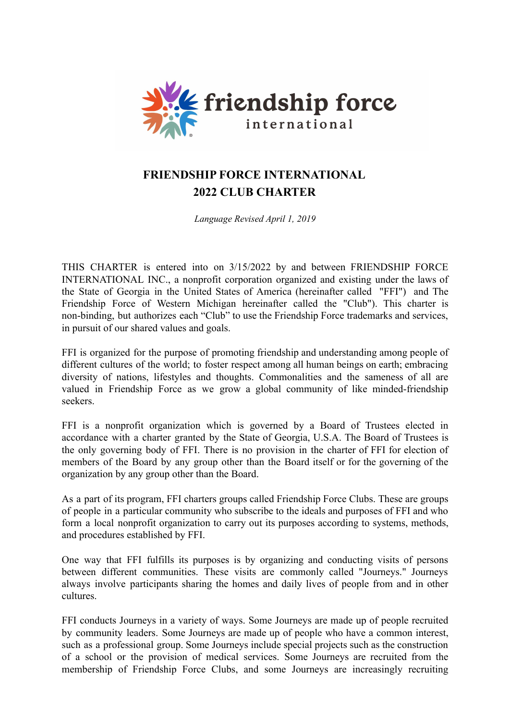

# **FRIENDSHIP FORCE INTERNATIONAL 2022 CLUB CHARTER**

*Language Revised April 1, 2019*

THIS CHARTER is entered into on 3/15/2022 by and between FRIENDSHIP FORCE INTERNATIONAL INC., a nonprofit corporation organized and existing under the laws of the State of Georgia in the United States of America (hereinafter called "FFI") and The Friendship Force of Western Michigan hereinafter called the "Club"). This charter is non-binding, but authorizes each "Club" to use the Friendship Force trademarks and services, in pursuit of our shared values and goals.

FFI is organized for the purpose of promoting friendship and understanding among people of different cultures of the world; to foster respect among all human beings on earth; embracing diversity of nations, lifestyles and thoughts. Commonalities and the sameness of all are valued in Friendship Force as we grow a global community of like minded-friendship seekers.

FFI is a nonprofit organization which is governed by a Board of Trustees elected in accordance with a charter granted by the State of Georgia, U.S.A. The Board of Trustees is the only governing body of FFI. There is no provision in the charter of FFI for election of members of the Board by any group other than the Board itself or for the governing of the organization by any group other than the Board.

As a part of its program, FFI charters groups called Friendship Force Clubs. These are groups of people in a particular community who subscribe to the ideals and purposes of FFI and who form a local nonprofit organization to carry out its purposes according to systems, methods, and procedures established by FFI.

One way that FFI fulfills its purposes is by organizing and conducting visits of persons between different communities. These visits are commonly called "Journeys." Journeys always involve participants sharing the homes and daily lives of people from and in other cultures.

FFI conducts Journeys in a variety of ways. Some Journeys are made up of people recruited by community leaders. Some Journeys are made up of people who have a common interest, such as a professional group. Some Journeys include special projects such as the construction of a school or the provision of medical services. Some Journeys are recruited from the membership of Friendship Force Clubs, and some Journeys are increasingly recruiting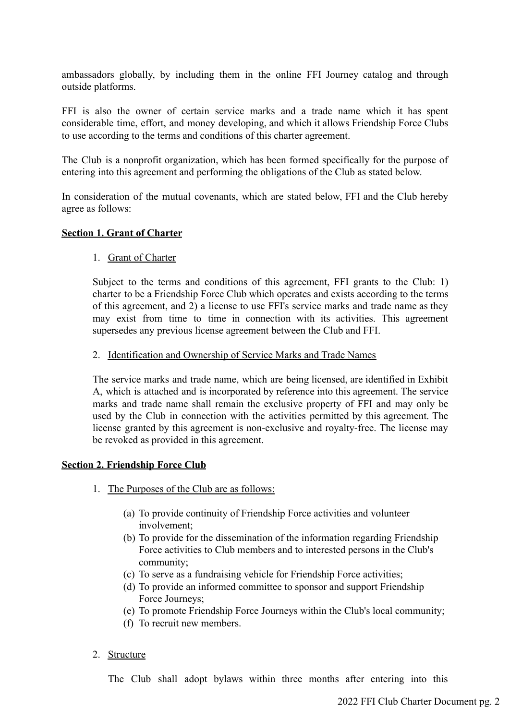ambassadors globally, by including them in the online FFI Journey catalog and through outside platforms.

FFI is also the owner of certain service marks and a trade name which it has spent considerable time, effort, and money developing, and which it allows Friendship Force Clubs to use according to the terms and conditions of this charter agreement.

The Club is a nonprofit organization, which has been formed specifically for the purpose of entering into this agreement and performing the obligations of the Club as stated below.

In consideration of the mutual covenants, which are stated below, FFI and the Club hereby agree as follows:

#### **Section 1. Grant of Charter**

#### 1. Grant of Charter

Subject to the terms and conditions of this agreement, FFI grants to the Club: 1) charter to be a Friendship Force Club which operates and exists according to the terms of this agreement, and 2) a license to use FFI's service marks and trade name as they may exist from time to time in connection with its activities. This agreement supersedes any previous license agreement between the Club and FFI.

#### 2. Identification and Ownership of Service Marks and Trade Names

The service marks and trade name, which are being licensed, are identified in Exhibit A, which is attached and is incorporated by reference into this agreement. The service marks and trade name shall remain the exclusive property of FFI and may only be used by the Club in connection with the activities permitted by this agreement. The license granted by this agreement is non-exclusive and royalty-free. The license may be revoked as provided in this agreement.

#### **Section 2. Friendship Force Club**

- 1. The Purposes of the Club are as follows:
	- (a) To provide continuity of Friendship Force activities and volunteer involvement;
	- (b) To provide for the dissemination of the information regarding Friendship Force activities to Club members and to interested persons in the Club's community;
	- (c) To serve as a fundraising vehicle for Friendship Force activities;
	- (d) To provide an informed committee to sponsor and support Friendship Force Journeys;
	- (e) To promote Friendship Force Journeys within the Club's local community;
	- (f) To recruit new members.
- 2. Structure

The Club shall adopt bylaws within three months after entering into this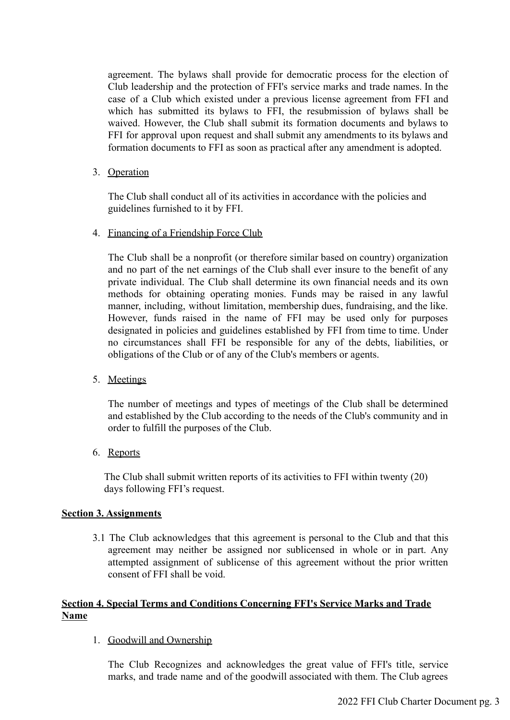agreement. The bylaws shall provide for democratic process for the election of Club leadership and the protection of FFI's service marks and trade names. In the case of a Club which existed under a previous license agreement from FFI and which has submitted its bylaws to FFI, the resubmission of bylaws shall be waived. However, the Club shall submit its formation documents and bylaws to FFI for approval upon request and shall submit any amendments to its bylaws and formation documents to FFI as soon as practical after any amendment is adopted.

3. Operation

The Club shall conduct all of its activities in accordance with the policies and guidelines furnished to it by FFI.

4. Financing of a Friendship Force Club

The Club shall be a nonprofit (or therefore similar based on country) organization and no part of the net earnings of the Club shall ever insure to the benefit of any private individual. The Club shall determine its own financial needs and its own methods for obtaining operating monies. Funds may be raised in any lawful manner, including, without limitation, membership dues, fundraising, and the like. However, funds raised in the name of FFI may be used only for purposes designated in policies and guidelines established by FFI from time to time. Under no circumstances shall FFI be responsible for any of the debts, liabilities, or obligations of the Club or of any of the Club's members or agents.

5. Meetings

The number of meetings and types of meetings of the Club shall be determined and established by the Club according to the needs of the Club's community and in order to fulfill the purposes of the Club.

6. Reports

The Club shall submit written reports of its activities to FFI within twenty (20) days following FFI's request.

## **Section 3. Assignments**

3.1 The Club acknowledges that this agreement is personal to the Club and that this agreement may neither be assigned nor sublicensed in whole or in part. Any attempted assignment of sublicense of this agreement without the prior written consent of FFI shall be void.

## **Section 4. Special Terms and Conditions Concerning FFI's Service Marks and Trade Name**

1. Goodwill and Ownership

The Club Recognizes and acknowledges the great value of FFI's title, service marks, and trade name and of the goodwill associated with them. The Club agrees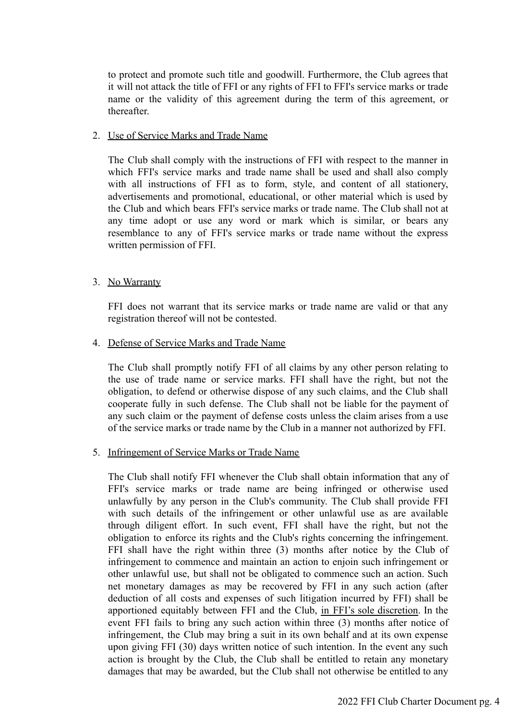to protect and promote such title and goodwill. Furthermore, the Club agrees that it will not attack the title of FFI or any rights of FFI to FFI's service marks or trade name or the validity of this agreement during the term of this agreement, or thereafter.

#### 2. Use of Service Marks and Trade Name

The Club shall comply with the instructions of FFI with respect to the manner in which FFI's service marks and trade name shall be used and shall also comply with all instructions of FFI as to form, style, and content of all stationery, advertisements and promotional, educational, or other material which is used by the Club and which bears FFI's service marks or trade name. The Club shall not at any time adopt or use any word or mark which is similar, or bears any resemblance to any of FFI's service marks or trade name without the express written permission of FFI.

#### 3. No Warranty

FFI does not warrant that its service marks or trade name are valid or that any registration thereof will not be contested.

#### 4. Defense of Service Marks and Trade Name

The Club shall promptly notify FFI of all claims by any other person relating to the use of trade name or service marks. FFI shall have the right, but not the obligation, to defend or otherwise dispose of any such claims, and the Club shall cooperate fully in such defense. The Club shall not be liable for the payment of any such claim or the payment of defense costs unless the claim arises from a use of the service marks or trade name by the Club in a manner not authorized by FFI.

#### 5. Infringement of Service Marks or Trade Name

The Club shall notify FFI whenever the Club shall obtain information that any of FFI's service marks or trade name are being infringed or otherwise used unlawfully by any person in the Club's community. The Club shall provide FFI with such details of the infringement or other unlawful use as are available through diligent effort. In such event, FFI shall have the right, but not the obligation to enforce its rights and the Club's rights concerning the infringement. FFI shall have the right within three (3) months after notice by the Club of infringement to commence and maintain an action to enjoin such infringement or other unlawful use, but shall not be obligated to commence such an action. Such net monetary damages as may be recovered by FFI in any such action (after deduction of all costs and expenses of such litigation incurred by FFI) shall be apportioned equitably between FFI and the Club, in FFI's sole discretion. In the event FFI fails to bring any such action within three (3) months after notice of infringement, the Club may bring a suit in its own behalf and at its own expense upon giving FFI (30) days written notice of such intention. In the event any such action is brought by the Club, the Club shall be entitled to retain any monetary damages that may be awarded, but the Club shall not otherwise be entitled to any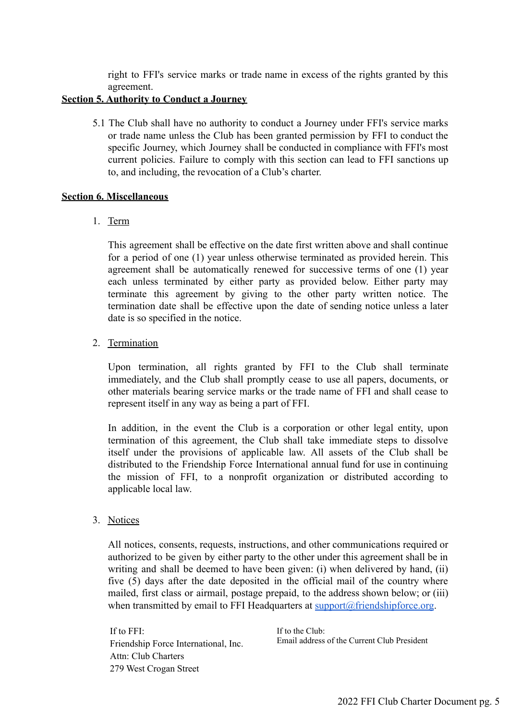right to FFI's service marks or trade name in excess of the rights granted by this agreement.

## **Section 5. Authority to Conduct a Journey**

5.1 The Club shall have no authority to conduct a Journey under FFI's service marks or trade name unless the Club has been granted permission by FFI to conduct the specific Journey, which Journey shall be conducted in compliance with FFI's most current policies. Failure to comply with this section can lead to FFI sanctions up to, and including, the revocation of a Club's charter.

### **Section 6. Miscellaneous**

1. Term

This agreement shall be effective on the date first written above and shall continue for a period of one (1) year unless otherwise terminated as provided herein. This agreement shall be automatically renewed for successive terms of one (1) year each unless terminated by either party as provided below. Either party may terminate this agreement by giving to the other party written notice. The termination date shall be effective upon the date of sending notice unless a later date is so specified in the notice.

## 2. Termination

Upon termination, all rights granted by FFI to the Club shall terminate immediately, and the Club shall promptly cease to use all papers, documents, or other materials bearing service marks or the trade name of FFI and shall cease to represent itself in any way as being a part of FFI.

In addition, in the event the Club is a corporation or other legal entity, upon termination of this agreement, the Club shall take immediate steps to dissolve itself under the provisions of applicable law. All assets of the Club shall be distributed to the Friendship Force International annual fund for use in continuing the mission of FFI, to a nonprofit organization or distributed according to applicable local law.

3. Notices

All notices, consents, requests, instructions, and other communications required or authorized to be given by either party to the other under this agreement shall be in writing and shall be deemed to have been given: (i) when delivered by hand, (ii) five (5) days after the date deposited in the official mail of the country where mailed, first class or airmail, postage prepaid, to the address shown below; or (iii) when transmitted by email to FFI Headquarters at  $\frac{\text{support}(a)}{\text{friendshipforce.org}}$ .

If to FFI: Friendship Force International, Inc. Attn: Club Charters 279 West Crogan Street

If to the Club: Email address of the Current Club President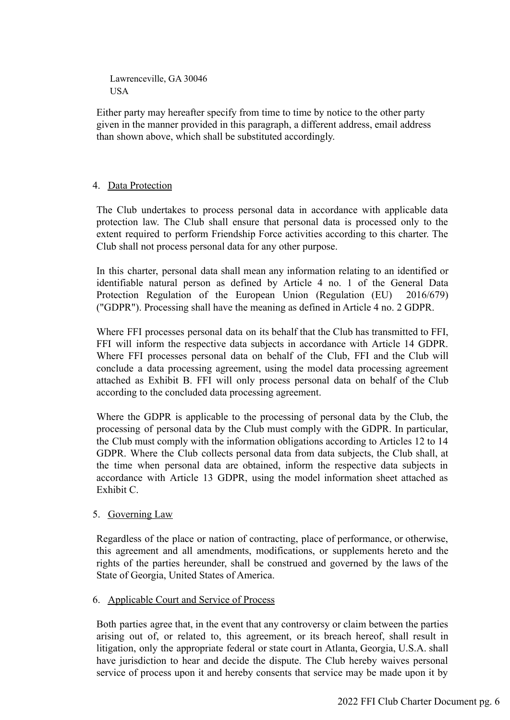Lawrenceville, GA 30046 USA

Either party may hereafter specify from time to time by notice to the other party given in the manner provided in this paragraph, a different address, email address than shown above, which shall be substituted accordingly.

## 4. Data Protection

The Club undertakes to process personal data in accordance with applicable data protection law. The Club shall ensure that personal data is processed only to the extent required to perform Friendship Force activities according to this charter. The Club shall not process personal data for any other purpose.

In this charter, personal data shall mean any information relating to an identified or identifiable natural person as defined by Article 4 no. 1 of the General Data Protection Regulation of the European Union (Regulation (EU) 2016/679) ("GDPR"). Processing shall have the meaning as defined in Article 4 no. 2 GDPR.

Where FFI processes personal data on its behalf that the Club has transmitted to FFI, FFI will inform the respective data subjects in accordance with Article 14 GDPR. Where FFI processes personal data on behalf of the Club, FFI and the Club will conclude a data processing agreement, using the model data processing agreement attached as Exhibit B. FFI will only process personal data on behalf of the Club according to the concluded data processing agreement.

Where the GDPR is applicable to the processing of personal data by the Club, the processing of personal data by the Club must comply with the GDPR. In particular, the Club must comply with the information obligations according to Articles 12 to 14 GDPR. Where the Club collects personal data from data subjects, the Club shall, at the time when personal data are obtained, inform the respective data subjects in accordance with Article 13 GDPR, using the model information sheet attached as Exhibit C.

## 5. Governing Law

Regardless of the place or nation of contracting, place of performance, or otherwise, this agreement and all amendments, modifications, or supplements hereto and the rights of the parties hereunder, shall be construed and governed by the laws of the State of Georgia, United States of America.

## 6. Applicable Court and Service of Process

Both parties agree that, in the event that any controversy or claim between the parties arising out of, or related to, this agreement, or its breach hereof, shall result in litigation, only the appropriate federal or state court in Atlanta, Georgia, U.S.A. shall have jurisdiction to hear and decide the dispute. The Club hereby waives personal service of process upon it and hereby consents that service may be made upon it by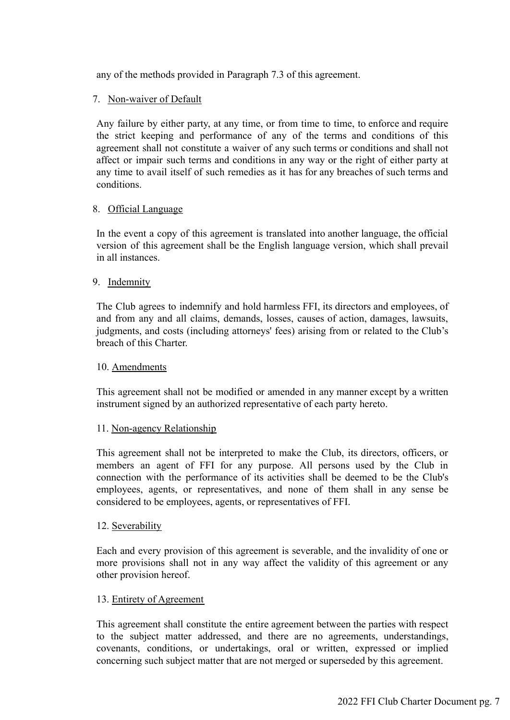any of the methods provided in Paragraph 7.3 of this agreement.

## 7. Non-waiver of Default

Any failure by either party, at any time, or from time to time, to enforce and require the strict keeping and performance of any of the terms and conditions of this agreement shall not constitute a waiver of any such terms or conditions and shall not affect or impair such terms and conditions in any way or the right of either party at any time to avail itself of such remedies as it has for any breaches of such terms and conditions.

#### 8. Official Language

In the event a copy of this agreement is translated into another language, the official version of this agreement shall be the English language version, which shall prevail in all instances.

## 9. Indemnity

The Club agrees to indemnify and hold harmless FFI, its directors and employees, of and from any and all claims, demands, losses, causes of action, damages, lawsuits, judgments, and costs (including attorneys' fees) arising from or related to the Club's breach of this Charter.

#### 10. Amendments

This agreement shall not be modified or amended in any manner except by a written instrument signed by an authorized representative of each party hereto.

#### 11. Non-agency Relationship

This agreement shall not be interpreted to make the Club, its directors, officers, or members an agent of FFI for any purpose. All persons used by the Club in connection with the performance of its activities shall be deemed to be the Club's employees, agents, or representatives, and none of them shall in any sense be considered to be employees, agents, or representatives of FFI.

#### 12. Severability

Each and every provision of this agreement is severable, and the invalidity of one or more provisions shall not in any way affect the validity of this agreement or any other provision hereof.

#### 13. Entirety of Agreement

This agreement shall constitute the entire agreement between the parties with respect to the subject matter addressed, and there are no agreements, understandings, covenants, conditions, or undertakings, oral or written, expressed or implied concerning such subject matter that are not merged or superseded by this agreement.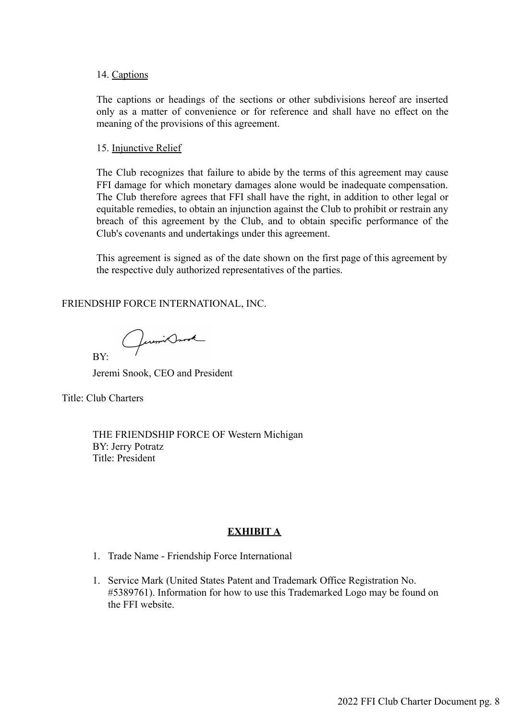#### 14. Captions

The captions or headings of the sections or other subdivisions hereof are inserted only as a matter of convenience or for reference and shall have no effect on the meaning of the provisions of this agreement.

#### 15. Injunctive Relief

The Club recognizes that failure to abide by the terms of this agreement may cause FFI damage for which monetary damages alone would be inadequate compensation. The Club therefore agrees that FFI shall have the right, in addition to other legal or equitable remedies, to obtain an injunction against the Club to prohibit or restrain any breach of this agreement by the Club, and to obtain specific performance of the Club's covenants and undertakings under this agreement.

This agreement is signed as of the date shown on the first page of this agreement by the respective duly authorized representatives of the parties.

FRIENDSHIP FORCE INTERNATIONAL, INC.

Quemix Drook

Jeremi Snook, CEO and President

Title: Club Charters

BY:

THE FRIENDSHIP FORCE OF Western Michigan BY: Jerry Potratz Title: President

#### **EXHIBIT A**

- 1. Trade Name Friendship Force International
- 1. Service Mark (United States Patent and Trademark Office Registration No. #5389761). Information for how to use this Trademarked Logo may be found on the FFI website.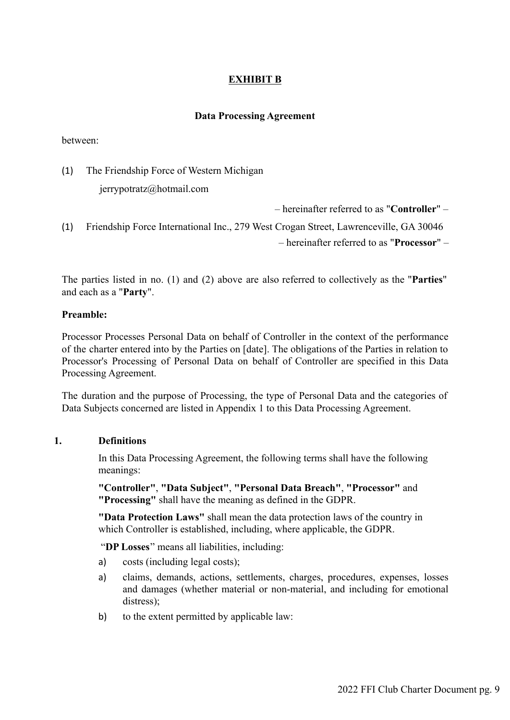## **EXHIBIT B**

## **Data Processing Agreement**

between:

(1) The Friendship Force of Western Michigan

jerrypotratz@hotmail.com

– hereinafter referred to as "**Controller**" –

(1) Friendship Force International Inc., 279 West Crogan Street, Lawrenceville, GA 30046 – hereinafter referred to as "**Processor**" –

The parties listed in no. (1) and (2) above are also referred to collectively as the "**Parties**" and each as a "**Party**".

## **Preamble:**

Processor Processes Personal Data on behalf of Controller in the context of the performance of the charter entered into by the Parties on [date]. The obligations of the Parties in relation to Processor's Processing of Personal Data on behalf of Controller are specified in this Data Processing Agreement.

The duration and the purpose of Processing, the type of Personal Data and the categories of Data Subjects concerned are listed in Appendix 1 to this Data Processing Agreement.

## **1. Definitions**

In this Data Processing Agreement, the following terms shall have the following meanings:

**"Controller"**, **"Data Subject"**, **"Personal Data Breach"**, **"Processor"** and **"Processing"** shall have the meaning as defined in the GDPR.

**"Data Protection Laws"** shall mean the data protection laws of the country in which Controller is established, including, where applicable, the GDPR.

"**DP Losses**" means all liabilities, including:

- a) costs (including legal costs);
- a) claims, demands, actions, settlements, charges, procedures, expenses, losses and damages (whether material or non-material, and including for emotional distress);
- b) to the extent permitted by applicable law: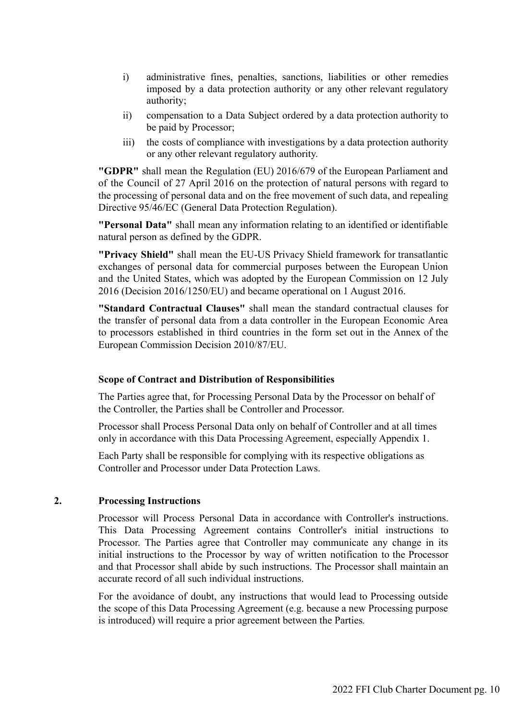- i) administrative fines, penalties, sanctions, liabilities or other remedies imposed by a data protection authority or any other relevant regulatory authority;
- ii) compensation to a Data Subject ordered by a data protection authority to be paid by Processor;
- iii) the costs of compliance with investigations by a data protection authority or any other relevant regulatory authority.

**"GDPR"** shall mean the Regulation (EU) 2016/679 of the European Parliament and of the Council of 27 April 2016 on the protection of natural persons with regard to the processing of personal data and on the free movement of such data, and repealing Directive 95/46/EC (General Data Protection Regulation).

**"Personal Data"** shall mean any information relating to an identified or identifiable natural person as defined by the GDPR.

**"Privacy Shield"** shall mean the EU-US Privacy Shield framework for transatlantic exchanges of personal data for commercial purposes between the European Union and the United States, which was adopted by the European Commission on 12 July 2016 (Decision 2016/1250/EU) and became operational on 1 August 2016.

**"Standard Contractual Clauses"** shall mean the standard contractual clauses for the transfer of personal data from a data controller in the European Economic Area to processors established in third countries in the form set out in the Annex of the European Commission Decision 2010/87/EU.

#### **Scope of Contract and Distribution of Responsibilities**

The Parties agree that, for Processing Personal Data by the Processor on behalf of the Controller, the Parties shall be Controller and Processor.

Processor shall Process Personal Data only on behalf of Controller and at all times only in accordance with this Data Processing Agreement, especially Appendix 1.

Each Party shall be responsible for complying with its respective obligations as Controller and Processor under Data Protection Laws.

### **2. Processing Instructions**

Processor will Process Personal Data in accordance with Controller's instructions. This Data Processing Agreement contains Controller's initial instructions to Processor. The Parties agree that Controller may communicate any change in its initial instructions to the Processor by way of written notification to the Processor and that Processor shall abide by such instructions. The Processor shall maintain an accurate record of all such individual instructions.

For the avoidance of doubt, any instructions that would lead to Processing outside the scope of this Data Processing Agreement (e.g. because a new Processing purpose is introduced) will require a prior agreement between the Parties*.*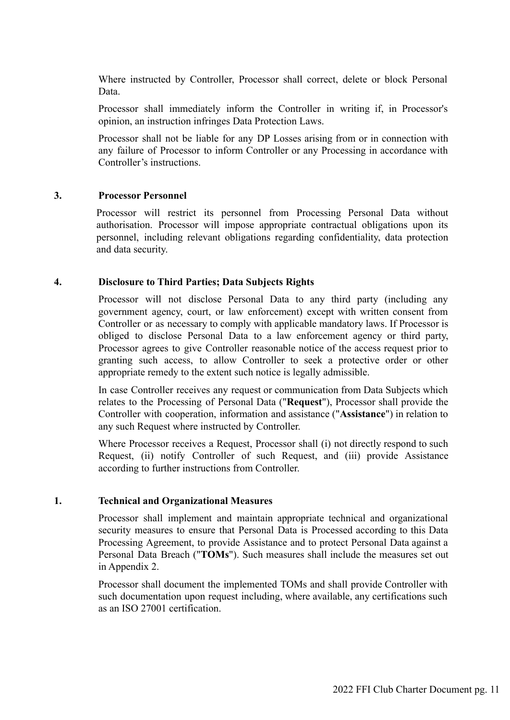Where instructed by Controller, Processor shall correct, delete or block Personal Data.

Processor shall immediately inform the Controller in writing if, in Processor's opinion, an instruction infringes Data Protection Laws.

Processor shall not be liable for any DP Losses arising from or in connection with any failure of Processor to inform Controller or any Processing in accordance with Controller's instructions.

#### **3. Processor Personnel**

Processor will restrict its personnel from Processing Personal Data without authorisation. Processor will impose appropriate contractual obligations upon its personnel, including relevant obligations regarding confidentiality, data protection and data security.

#### **4. Disclosure to Third Parties; Data Subjects Rights**

Processor will not disclose Personal Data to any third party (including any government agency, court, or law enforcement) except with written consent from Controller or as necessary to comply with applicable mandatory laws. If Processor is obliged to disclose Personal Data to a law enforcement agency or third party, Processor agrees to give Controller reasonable notice of the access request prior to granting such access, to allow Controller to seek a protective order or other appropriate remedy to the extent such notice is legally admissible.

In case Controller receives any request or communication from Data Subjects which relates to the Processing of Personal Data ("**Request**"), Processor shall provide the Controller with cooperation, information and assistance ("**Assistance**") in relation to any such Request where instructed by Controller.

Where Processor receives a Request, Processor shall (i) not directly respond to such Request, (ii) notify Controller of such Request, and (iii) provide Assistance according to further instructions from Controller.

### **1. Technical and Organizational Measures**

Processor shall implement and maintain appropriate technical and organizational security measures to ensure that Personal Data is Processed according to this Data Processing Agreement, to provide Assistance and to protect Personal Data against a Personal Data Breach ("**TOMs**"). Such measures shall include the measures set out in Appendix 2

Processor shall document the implemented TOMs and shall provide Controller with such documentation upon request including, where available, any certifications such as an ISO 27001 certification.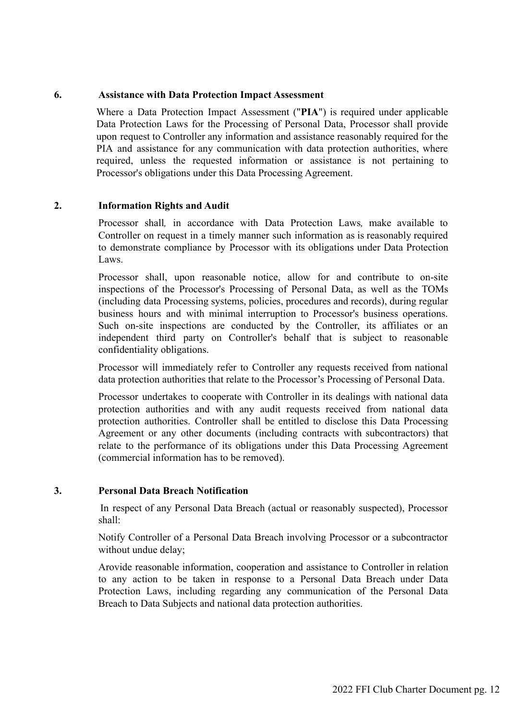## **6. Assistance with Data Protection Impact Assessment**

Where a Data Protection Impact Assessment ("**PIA**") is required under applicable Data Protection Laws for the Processing of Personal Data, Processor shall provide upon request to Controller any information and assistance reasonably required for the PIA and assistance for any communication with data protection authorities, where required, unless the requested information or assistance is not pertaining to Processor's obligations under this Data Processing Agreement.

## **2. Information Rights and Audit**

Processor shall*,* in accordance with Data Protection Laws*,* make available to Controller on request in a timely manner such information as is reasonably required to demonstrate compliance by Processor with its obligations under Data Protection Laws.

Processor shall, upon reasonable notice, allow for and contribute to on-site inspections of the Processor's Processing of Personal Data, as well as the TOMs (including data Processing systems, policies, procedures and records), during regular business hours and with minimal interruption to Processor's business operations. Such on-site inspections are conducted by the Controller, its affiliates or an independent third party on Controller's behalf that is subject to reasonable confidentiality obligations.

Processor will immediately refer to Controller any requests received from national data protection authorities that relate to the Processor's Processing of Personal Data.

Processor undertakes to cooperate with Controller in its dealings with national data protection authorities and with any audit requests received from national data protection authorities. Controller shall be entitled to disclose this Data Processing Agreement or any other documents (including contracts with subcontractors) that relate to the performance of its obligations under this Data Processing Agreement (commercial information has to be removed).

## **3. Personal Data Breach Notification**

In respect of any Personal Data Breach (actual or reasonably suspected), Processor shall:

Notify Controller of a Personal Data Breach involving Processor or a subcontractor without undue delay:

Arovide reasonable information, cooperation and assistance to Controller in relation to any action to be taken in response to a Personal Data Breach under Data Protection Laws, including regarding any communication of the Personal Data Breach to Data Subjects and national data protection authorities.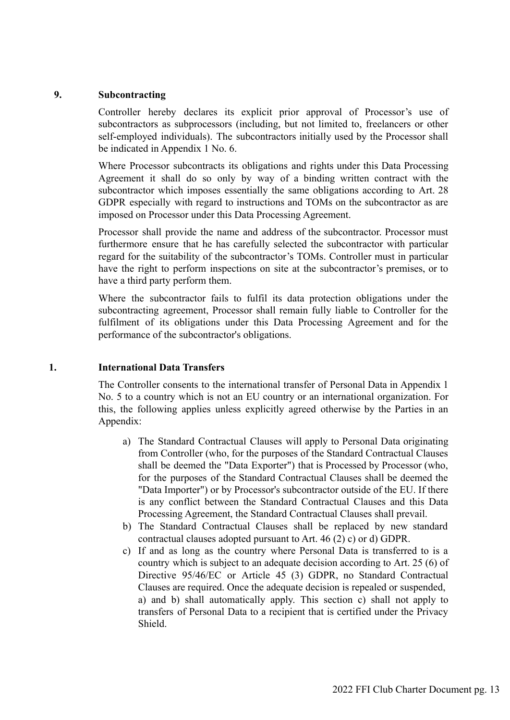### **9. Subcontracting**

Controller hereby declares its explicit prior approval of Processor's use of subcontractors as subprocessors (including, but not limited to, freelancers or other self-employed individuals). The subcontractors initially used by the Processor shall be indicated in Appendix 1 No. 6.

Where Processor subcontracts its obligations and rights under this Data Processing Agreement it shall do so only by way of a binding written contract with the subcontractor which imposes essentially the same obligations according to Art. 28 GDPR especially with regard to instructions and TOMs on the subcontractor as are imposed on Processor under this Data Processing Agreement.

Processor shall provide the name and address of the subcontractor. Processor must furthermore ensure that he has carefully selected the subcontractor with particular regard for the suitability of the subcontractor's TOMs. Controller must in particular have the right to perform inspections on site at the subcontractor's premises, or to have a third party perform them.

Where the subcontractor fails to fulfil its data protection obligations under the subcontracting agreement, Processor shall remain fully liable to Controller for the fulfilment of its obligations under this Data Processing Agreement and for the performance of the subcontractor's obligations.

#### **1. International Data Transfers**

The Controller consents to the international transfer of Personal Data in Appendix 1 No. 5 to a country which is not an EU country or an international organization. For this, the following applies unless explicitly agreed otherwise by the Parties in an Appendix:

- a) The Standard Contractual Clauses will apply to Personal Data originating from Controller (who, for the purposes of the Standard Contractual Clauses shall be deemed the "Data Exporter") that is Processed by Processor (who, for the purposes of the Standard Contractual Clauses shall be deemed the "Data Importer") or by Processor's subcontractor outside of the EU. If there is any conflict between the Standard Contractual Clauses and this Data Processing Agreement, the Standard Contractual Clauses shall prevail.
- b) The Standard Contractual Clauses shall be replaced by new standard contractual clauses adopted pursuant to Art. 46 (2) c) or d) GDPR.
- c) If and as long as the country where Personal Data is transferred to is a country which is subject to an adequate decision according to Art. 25 (6) of Directive 95/46/EC or Article 45 (3) GDPR, no Standard Contractual Clauses are required. Once the adequate decision is repealed or suspended, a) and b) shall automatically apply. This section c) shall not apply to transfers of Personal Data to a recipient that is certified under the Privacy Shield.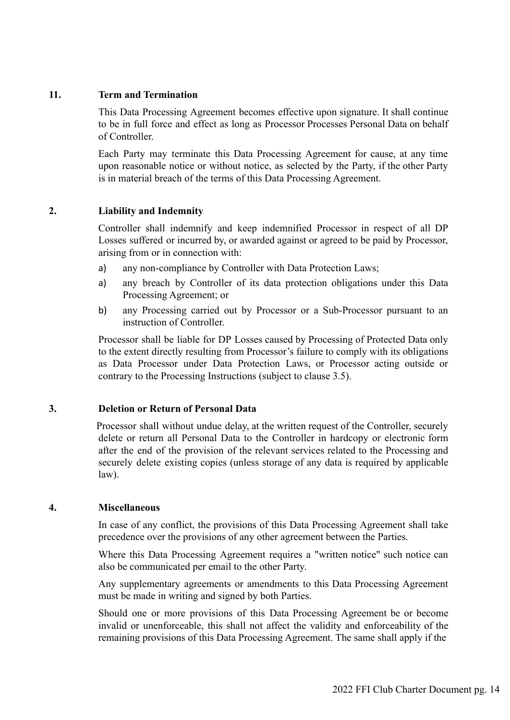## **11. Term and Termination**

This Data Processing Agreement becomes effective upon signature. It shall continue to be in full force and effect as long as Processor Processes Personal Data on behalf of Controller.

Each Party may terminate this Data Processing Agreement for cause, at any time upon reasonable notice or without notice, as selected by the Party, if the other Party is in material breach of the terms of this Data Processing Agreement.

## **2. Liability and Indemnity**

Controller shall indemnify and keep indemnified Processor in respect of all DP Losses suffered or incurred by, or awarded against or agreed to be paid by Processor, arising from or in connection with:

- a) any non-compliance by Controller with Data Protection Laws;
- a) any breach by Controller of its data protection obligations under this Data Processing Agreement; or
- b) any Processing carried out by Processor or a Sub-Processor pursuant to an instruction of Controller.

Processor shall be liable for DP Losses caused by Processing of Protected Data only to the extent directly resulting from Processor's failure to comply with its obligations as Data Processor under Data Protection Laws, or Processor acting outside or contrary to the Processing Instructions (subject to clause 3.5).

## **3. Deletion or Return of Personal Data**

Processor shall without undue delay, at the written request of the Controller, securely delete or return all Personal Data to the Controller in hardcopy or electronic form after the end of the provision of the relevant services related to the Processing and securely delete existing copies (unless storage of any data is required by applicable law).

#### **4. Miscellaneous**

In case of any conflict, the provisions of this Data Processing Agreement shall take precedence over the provisions of any other agreement between the Parties.

Where this Data Processing Agreement requires a "written notice" such notice can also be communicated per email to the other Party.

Any supplementary agreements or amendments to this Data Processing Agreement must be made in writing and signed by both Parties.

Should one or more provisions of this Data Processing Agreement be or become invalid or unenforceable, this shall not affect the validity and enforceability of the remaining provisions of this Data Processing Agreement. The same shall apply if the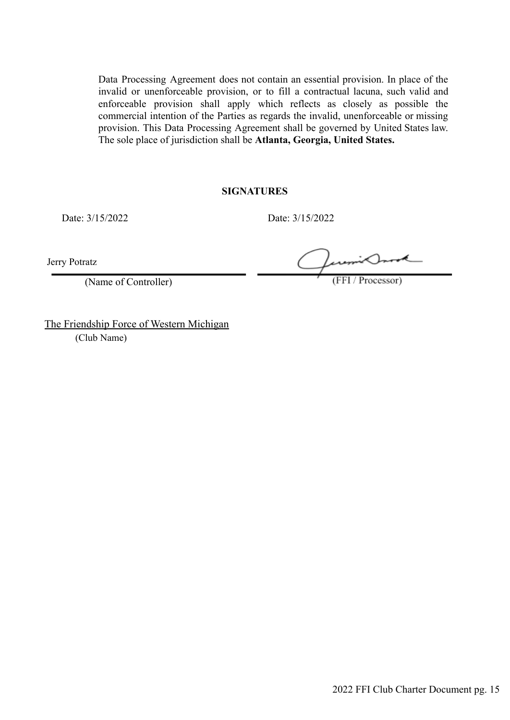Data Processing Agreement does not contain an essential provision. In place of the invalid or unenforceable provision, or to fill a contractual lacuna, such valid and enforceable provision shall apply which reflects as closely as possible the commercial intention of the Parties as regards the invalid, unenforceable or missing provision. This Data Processing Agreement shall be governed by United States law. The sole place of jurisdiction shall be **Atlanta, Georgia, United States.**

#### **SIGNATURES**

Date: 3/15/2022 Date: 3/15/2022

Jerry Potratz

(Name of Controller)

(FFI / Processor)

The Friendship Force of Western Michigan (Club Name)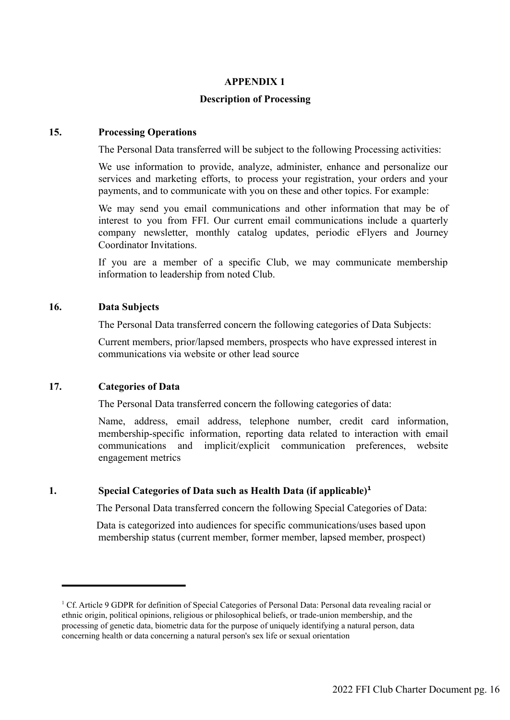## **APPENDIX 1**

## **Description of Processing**

## **15. Processing Operations**

The Personal Data transferred will be subject to the following Processing activities:

We use information to provide, analyze, administer, enhance and personalize our services and marketing efforts, to process your registration, your orders and your payments, and to communicate with you on these and other topics. For example:

We may send you email communications and other information that may be of interest to you from FFI. Our current email communications include a quarterly company newsletter, monthly catalog updates, periodic eFlyers and Journey Coordinator Invitations.

If you are a member of a specific Club, we may communicate membership information to leadership from noted Club.

## **16. Data Subjects**

The Personal Data transferred concern the following categories of Data Subjects:

Current members, prior/lapsed members, prospects who have expressed interest in communications via website or other lead source

## **17. Categories of Data**

The Personal Data transferred concern the following categories of data:

Name, address, email address, telephone number, credit card information, membership-specific information, reporting data related to interaction with email communications and implicit/explicit communication preferences, website engagement metrics

#### **1. Special Categories of Data such as Health Data (if applicable)<sup>1</sup>**

The Personal Data transferred concern the following Special Categories of Data:

Data is categorized into audiences for specific communications/uses based upon membership status (current member, former member, lapsed member, prospect)

<sup>&</sup>lt;sup>1</sup> Cf. Article 9 GDPR for definition of Special Categories of Personal Data: Personal data revealing racial or ethnic origin, political opinions, religious or philosophical beliefs, or trade-union membership, and the processing of genetic data, biometric data for the purpose of uniquely identifying a natural person, data concerning health or data concerning a natural person's sex life or sexual orientation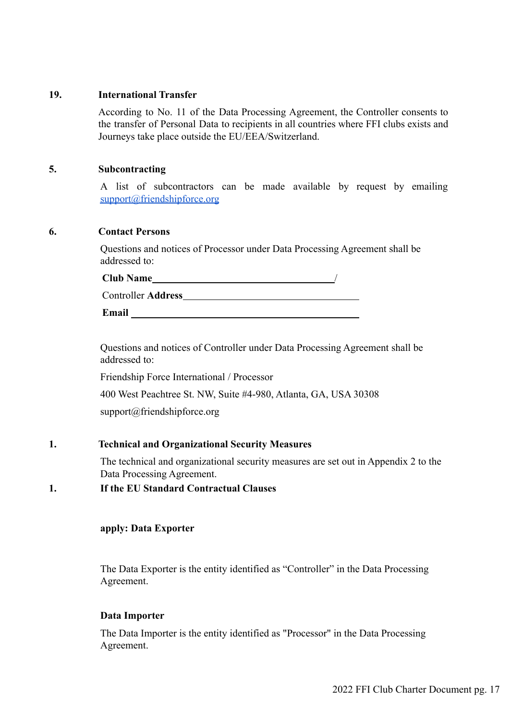#### **19. International Transfer**

According to No. 11 of the Data Processing Agreement, the Controller consents to the transfer of Personal Data to recipients in all countries where FFI clubs exists and Journeys take place outside the EU/EEA/Switzerland.

#### **5. Subcontracting**

A list of subcontractors can be made available by request by emailing [support@friendshipforce.org](mailto:support@friendshipforce.org)

## **6. Contact Persons**

Questions and notices of Processor under Data Processing Agreement shall be addressed to:

| <b>Club Name</b>    |  |
|---------------------|--|
| Controller Address_ |  |
| Email               |  |

Questions and notices of Controller under Data Processing Agreement shall be addressed to:

Friendship Force International / Processor

400 West Peachtree St. NW, Suite #4-980, Atlanta, GA, USA 30308

[support@friendshipforce.org](mailto:support@friendshipforce.org)

## **1. Technical and Organizational Security Measures**

The technical and organizational security measures are set out in Appendix 2 to the Data Processing Agreement.

**1. If the EU Standard Contractual Clauses**

#### **apply: Data Exporter**

The Data Exporter is the entity identified as "Controller" in the Data Processing Agreement.

#### **Data Importer**

The Data Importer is the entity identified as "Processor" in the Data Processing Agreement.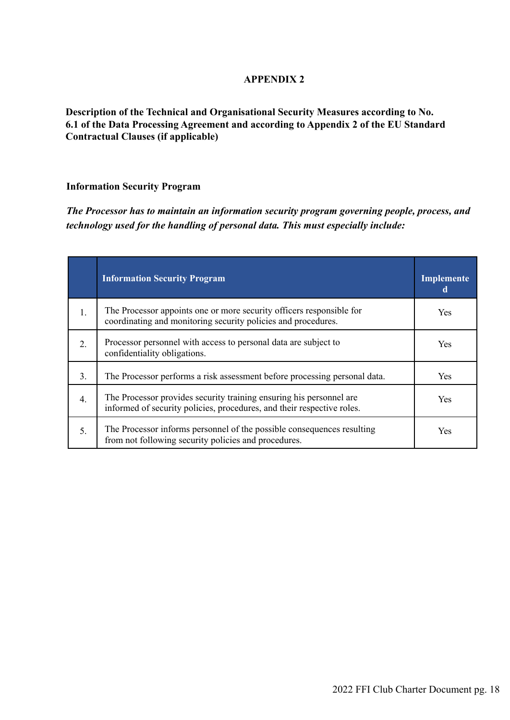## **APPENDIX 2**

**Description of the Technical and Organisational Security Measures according to No. 6.1 of the Data Processing Agreement and according to Appendix 2 of the EU Standard Contractual Clauses (if applicable)**

#### **Information Security Program**

*The Processor has to maintain an information security program governing people, process, and technology used for the handling of personal data. This must especially include:*

|                  | <b>Information Security Program</b>                                                                                                           | Implemente<br>đ |
|------------------|-----------------------------------------------------------------------------------------------------------------------------------------------|-----------------|
| 1.               | The Processor appoints one or more security officers responsible for<br>coordinating and monitoring security policies and procedures.         | Yes             |
| 2.               | Processor personnel with access to personal data are subject to<br>confidentiality obligations.                                               | Yes             |
| 3 <sub>1</sub>   | The Processor performs a risk assessment before processing personal data.                                                                     | Yes             |
| $\overline{4}$ . | The Processor provides security training ensuring his personnel are<br>informed of security policies, procedures, and their respective roles. | <b>Yes</b>      |
| 5.               | The Processor informs personnel of the possible consequences resulting<br>from not following security policies and procedures.                | Yes             |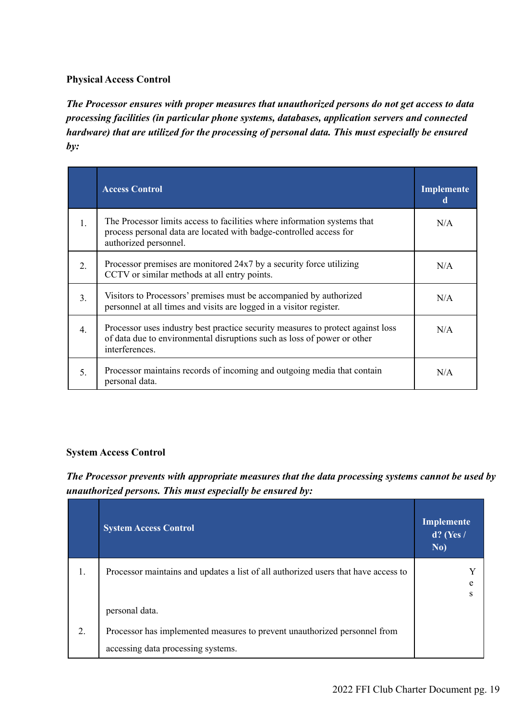## **Physical Access Control**

*The Processor ensures with proper measures that unauthorized persons do not get access to data processing facilities (in particular phone systems, databases, application servers and connected hardware) that are utilized for the processing of personal data. This must especially be ensured by:*

|                  | <b>Access Control</b>                                                                                                                                                        | Implemente<br>d |
|------------------|------------------------------------------------------------------------------------------------------------------------------------------------------------------------------|-----------------|
| 1.               | The Processor limits access to facilities where information systems that<br>process personal data are located with badge-controlled access for<br>authorized personnel.      | N/A             |
| 2.               | Processor premises are monitored 24x7 by a security force utilizing<br>CCTV or similar methods at all entry points.                                                          | N/A             |
| 3.               | Visitors to Processors' premises must be accompanied by authorized<br>personnel at all times and visits are logged in a visitor register.                                    | N/A             |
| $\overline{4}$ . | Processor uses industry best practice security measures to protect against loss<br>of data due to environmental disruptions such as loss of power or other<br>interferences. | N/A             |
| 5.               | Processor maintains records of incoming and outgoing media that contain<br>personal data.                                                                                    | N/A             |

#### **System Access Control**

*The Processor prevents with appropriate measures that the data processing systems cannot be used by unauthorized persons. This must especially be ensured by:*

|    | <b>System Access Control</b>                                                       | <b>Implemente</b><br>$d?$ (Yes /<br>No) |
|----|------------------------------------------------------------------------------------|-----------------------------------------|
| 1. | Processor maintains and updates a list of all authorized users that have access to |                                         |
|    | personal data.                                                                     |                                         |
| 2. | Processor has implemented measures to prevent unauthorized personnel from          |                                         |
|    | accessing data processing systems.                                                 |                                         |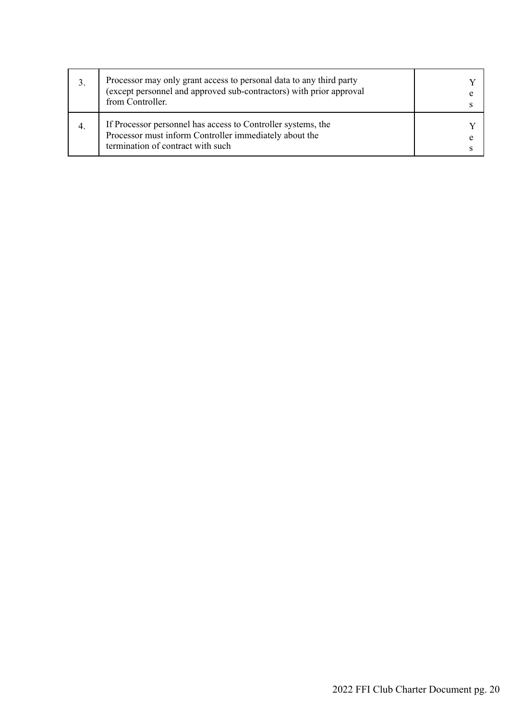| 3. | Processor may only grant access to personal data to any third party<br>(except personnel and approved sub-contractors) with prior approval<br>from Controller. |  |
|----|----------------------------------------------------------------------------------------------------------------------------------------------------------------|--|
| 4. | If Processor personnel has access to Controller systems, the<br>Processor must inform Controller immediately about the<br>termination of contract with such    |  |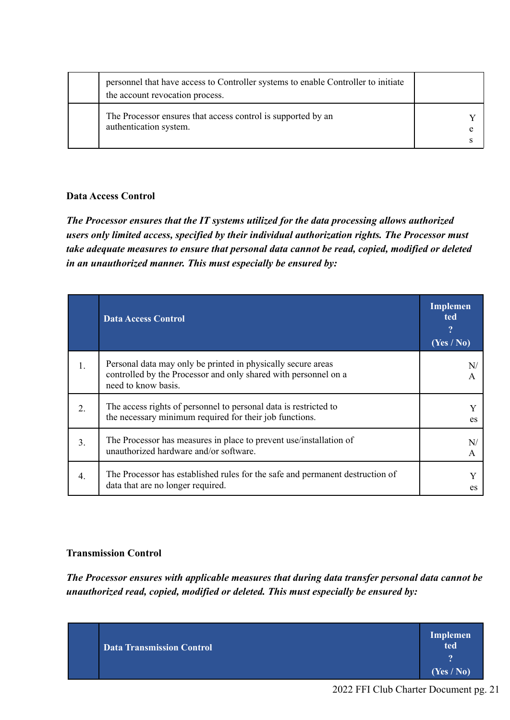| personnel that have access to Controller systems to enable Controller to initiate<br>the account revocation process. |  |
|----------------------------------------------------------------------------------------------------------------------|--|
| The Processor ensures that access control is supported by an<br>authentication system.                               |  |

## **Data Access Control**

*The Processor ensures that the IT systems utilized for the data processing allows authorized users only limited access, specified by their individual authorization rights. The Processor must take adequate measures to ensure that personal data cannot be read, copied, modified or deleted in an unauthorized manner. This must especially be ensured by:*

|                  | <b>Data Access Control</b>                                                                                                                             | <b>Implemen</b><br>ted<br>9<br>(Yes / No) |
|------------------|--------------------------------------------------------------------------------------------------------------------------------------------------------|-------------------------------------------|
| $\mathbf{1}$ .   | Personal data may only be printed in physically secure areas<br>controlled by the Processor and only shared with personnel on a<br>need to know basis. | N<br>A                                    |
| 2.               | The access rights of personnel to personal data is restricted to<br>the necessary minimum required for their job functions.                            | es                                        |
| 3.               | The Processor has measures in place to prevent use/installation of<br>unauthorized hardware and/or software.                                           | N<br>A                                    |
| $\overline{4}$ . | The Processor has established rules for the safe and permanent destruction of<br>data that are no longer required.                                     | es                                        |

## **Transmission Control**

*The Processor ensures with applicable measures that during data transfer personal data cannot be unauthorized read, copied, modified or deleted. This must especially be ensured by:*

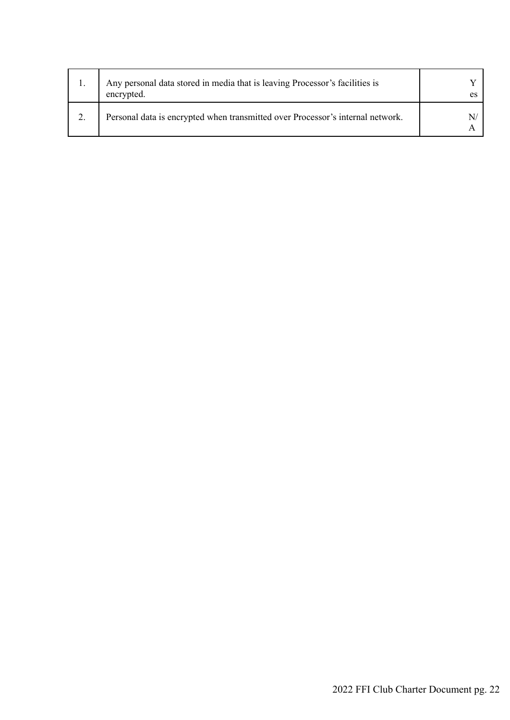| Any personal data stored in media that is leaving Processor's facilities is<br>encrypted. |  |
|-------------------------------------------------------------------------------------------|--|
| Personal data is encrypted when transmitted over Processor's internal network.            |  |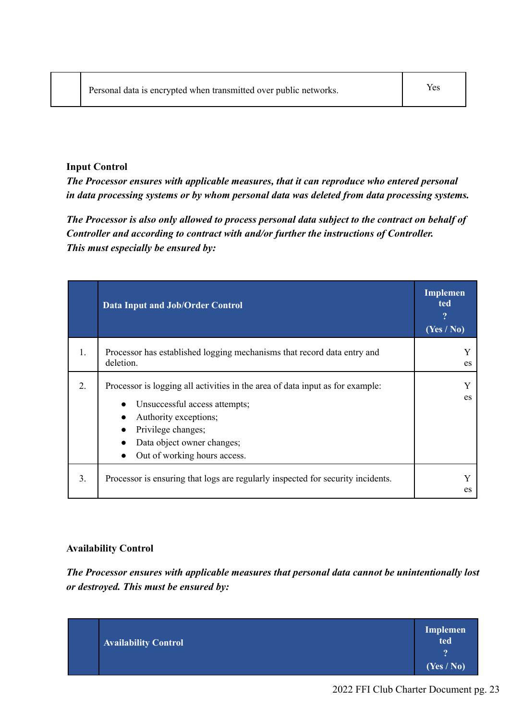## **Input Control**

*The Processor ensures with applicable measures, that it can reproduce who entered personal in data processing systems or by whom personal data was deleted from data processing systems.*

*The Processor is also only allowed to process personal data subject to the contract on behalf of Controller and according to contract with and/or further the instructions of Controller. This must especially be ensured by:*

|    | <b>Data Input and Job/Order Control</b>                                                                                                                                                                                                               | Implemen<br>ted<br>9<br>$(Yes \overline{No})$ |
|----|-------------------------------------------------------------------------------------------------------------------------------------------------------------------------------------------------------------------------------------------------------|-----------------------------------------------|
| 1. | Processor has established logging mechanisms that record data entry and<br>deletion.                                                                                                                                                                  | es                                            |
| 2. | Processor is logging all activities in the area of data input as for example:<br>Unsuccessful access attempts;<br>$\bullet$<br>Authority exceptions;<br>Privilege changes;<br>$\bullet$<br>Data object owner changes;<br>Out of working hours access. | es                                            |
| 3. | Processor is ensuring that logs are regularly inspected for security incidents.                                                                                                                                                                       | es                                            |

#### **Availability Control**

*The Processor ensures with applicable measures that personal data cannot be unintentionally lost or destroyed. This must be ensured by:*

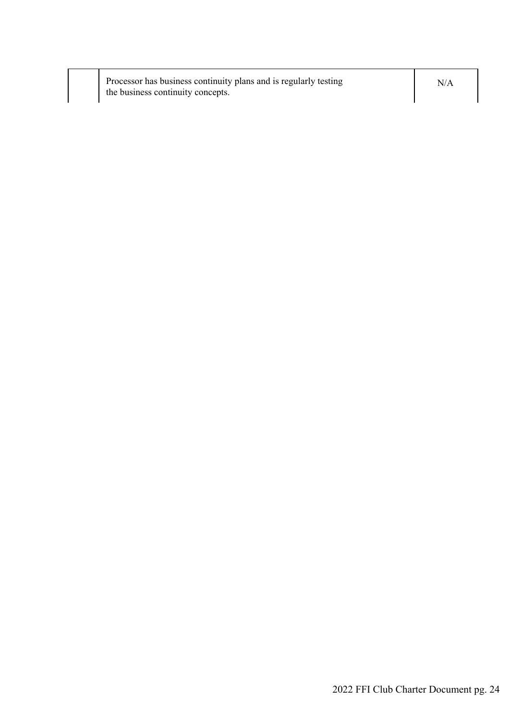| Processor has business continuity plans and is regularly testing | N/A |
|------------------------------------------------------------------|-----|
| the business continuity concepts.                                |     |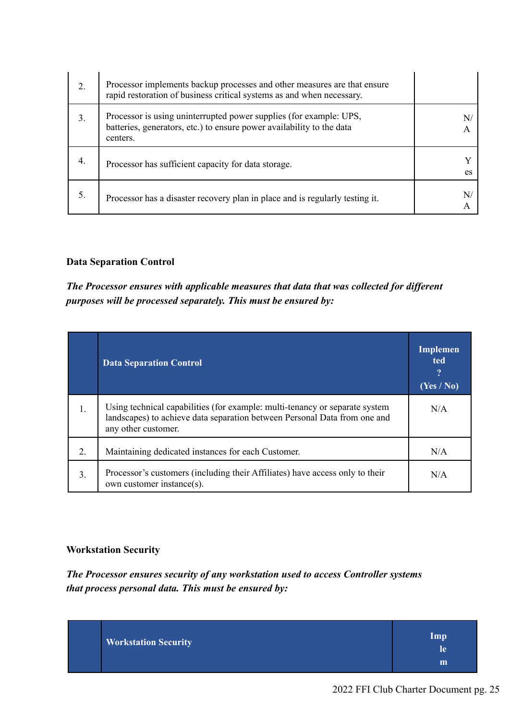| 2. | Processor implements backup processes and other measures are that ensure<br>rapid restoration of business critical systems as and when necessary.       |    |
|----|---------------------------------------------------------------------------------------------------------------------------------------------------------|----|
| 3. | Processor is using uninterrupted power supplies (for example: UPS,<br>batteries, generators, etc.) to ensure power availability to the data<br>centers. | A  |
| 4. | Processor has sufficient capacity for data storage.                                                                                                     | es |
|    | Processor has a disaster recovery plan in place and is regularly testing it.                                                                            | N  |

## **Data Separation Control**

*The Processor ensures with applicable measures that data that was collected for different purposes will be processed separately. This must be ensured by:*

|                  | <b>Data Separation Control</b>                                                                                                                                                  | Implemen<br>ted<br>(Yes / No) |
|------------------|---------------------------------------------------------------------------------------------------------------------------------------------------------------------------------|-------------------------------|
| 1.               | Using technical capabilities (for example: multi-tenancy or separate system<br>landscapes) to achieve data separation between Personal Data from one and<br>any other customer. | N/A                           |
| $\overline{2}$ . | Maintaining dedicated instances for each Customer.                                                                                                                              | N/A                           |
| 3 <sub>1</sub>   | Processor's customers (including their Affiliates) have access only to their<br>own customer instance(s).                                                                       | N/A                           |

## **Workstation Security**

*The Processor ensures security of any workstation used to access Controller systems that process personal data. This must be ensured by:*

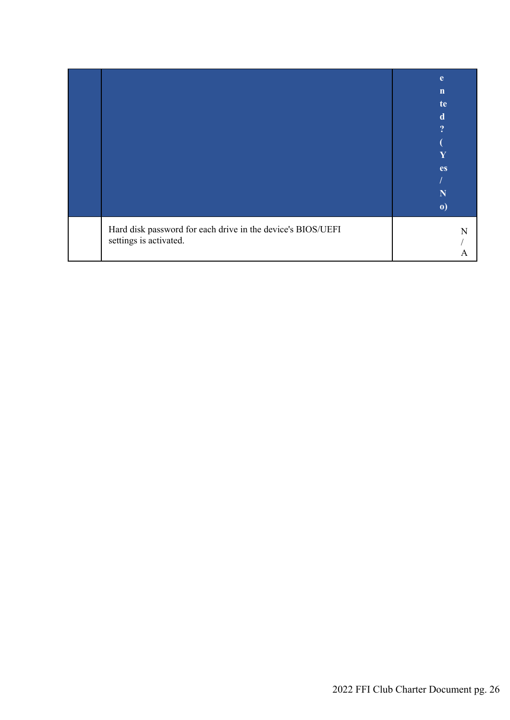|                                                                                       | e<br>$\mathbf n$<br>te<br>d<br>9<br>Y<br><b>es</b><br>N<br>$\boldsymbol{\theta}$ |
|---------------------------------------------------------------------------------------|----------------------------------------------------------------------------------|
| Hard disk password for each drive in the device's BIOS/UEFI<br>settings is activated. |                                                                                  |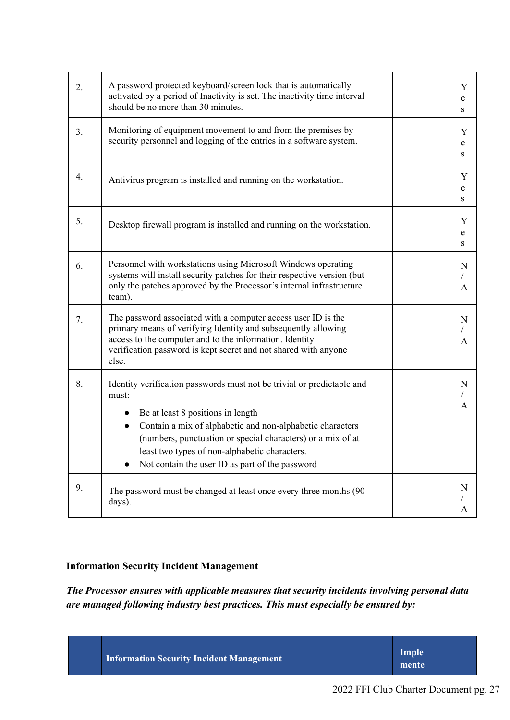| 2. | A password protected keyboard/screen lock that is automatically<br>activated by a period of Inactivity is set. The inactivity time interval<br>should be no more than 30 minutes.                                                                                                                                                                                 | Y<br>e<br>S |
|----|-------------------------------------------------------------------------------------------------------------------------------------------------------------------------------------------------------------------------------------------------------------------------------------------------------------------------------------------------------------------|-------------|
| 3. | Monitoring of equipment movement to and from the premises by<br>security personnel and logging of the entries in a software system.                                                                                                                                                                                                                               | Y<br>e<br>S |
| 4. | Antivirus program is installed and running on the workstation.                                                                                                                                                                                                                                                                                                    | Y<br>e<br>S |
| 5. | Desktop firewall program is installed and running on the workstation.                                                                                                                                                                                                                                                                                             | Y<br>e<br>S |
| 6. | Personnel with workstations using Microsoft Windows operating<br>systems will install security patches for their respective version (but<br>only the patches approved by the Processor's internal infrastructure<br>team).                                                                                                                                        | N<br>A      |
| 7. | The password associated with a computer access user ID is the<br>primary means of verifying Identity and subsequently allowing<br>access to the computer and to the information. Identity<br>verification password is kept secret and not shared with anyone<br>else.                                                                                             | N<br>A      |
| 8. | Identity verification passwords must not be trivial or predictable and<br>must:<br>Be at least 8 positions in length<br>Contain a mix of alphabetic and non-alphabetic characters<br>$\bullet$<br>(numbers, punctuation or special characters) or a mix of at<br>least two types of non-alphabetic characters.<br>Not contain the user ID as part of the password | N<br>A      |
| 9. | The password must be changed at least once every three months (90)<br>days).                                                                                                                                                                                                                                                                                      | N<br>A      |

## **Information Security Incident Management**

*The Processor ensures with applicable measures that security incidents involving personal data are managed following industry best practices. This must especially be ensured by:*

| <b>Information Security Incident Management</b><br>mente |
|----------------------------------------------------------|
|----------------------------------------------------------|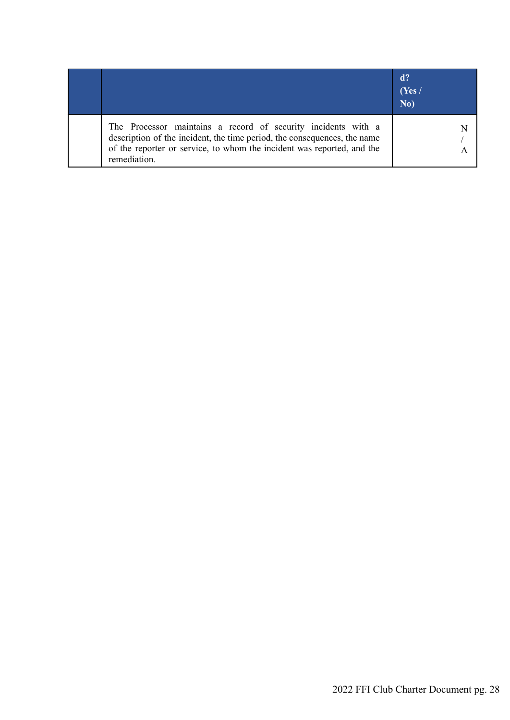|                                                                                                                                                                                                                                     | $d$ ?<br>(Yes)<br>No) |
|-------------------------------------------------------------------------------------------------------------------------------------------------------------------------------------------------------------------------------------|-----------------------|
| The Processor maintains a record of security incidents with a<br>description of the incident, the time period, the consequences, the name<br>of the reporter or service, to whom the incident was reported, and the<br>remediation. |                       |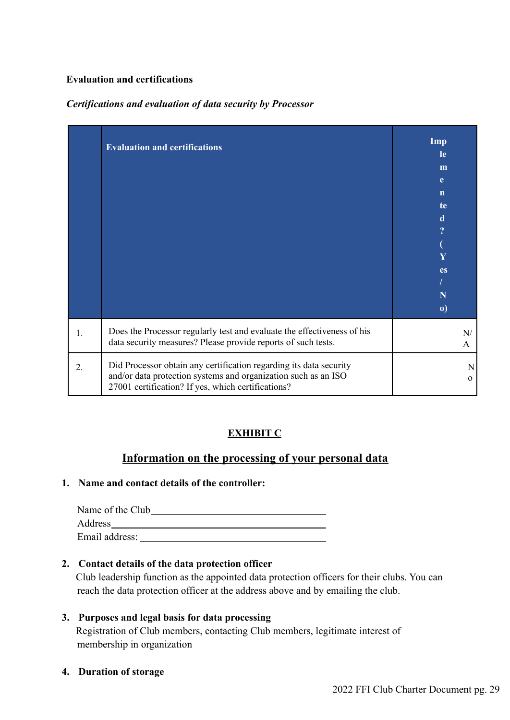## **Evaluation and certifications**

## *Certifications and evaluation of data security by Processor*

|                | <b>Evaluation and certifications</b>                                                                                                                                                       | Imp<br><b>le</b><br>m<br>e<br>$\mathbf n$<br>te<br>d<br>$\overline{?}$<br>Y<br><b>es</b><br>N<br>$\boldsymbol{\mathrm{o}})$ |
|----------------|--------------------------------------------------------------------------------------------------------------------------------------------------------------------------------------------|-----------------------------------------------------------------------------------------------------------------------------|
| $\mathbf{1}$ . | Does the Processor regularly test and evaluate the effectiveness of his<br>data security measures? Please provide reports of such tests.                                                   | N/<br>A                                                                                                                     |
| 2.             | Did Processor obtain any certification regarding its data security<br>and/or data protection systems and organization such as an ISO<br>27001 certification? If yes, which certifications? | N<br>$\Omega$                                                                                                               |

## **EXHIBIT C**

## **Information on the processing of your personal data**

## **1. Name and contact details of the controller:**

Name of the Club Address and the contract of the contract of the contract of the contract of the contract of the contract of the contract of the contract of the contract of the contract of the contract of the contract of the contract of th Email address:

## **2. Contact details of the data protection officer**

Club leadership function as the appointed data protection officers for their clubs. You can reach the data protection officer at the address above and by emailing the club.

## **3. Purposes and legal basis for data processing** Registration of Club members, contacting Club members, legitimate interest of membership in organization

**4. Duration of storage**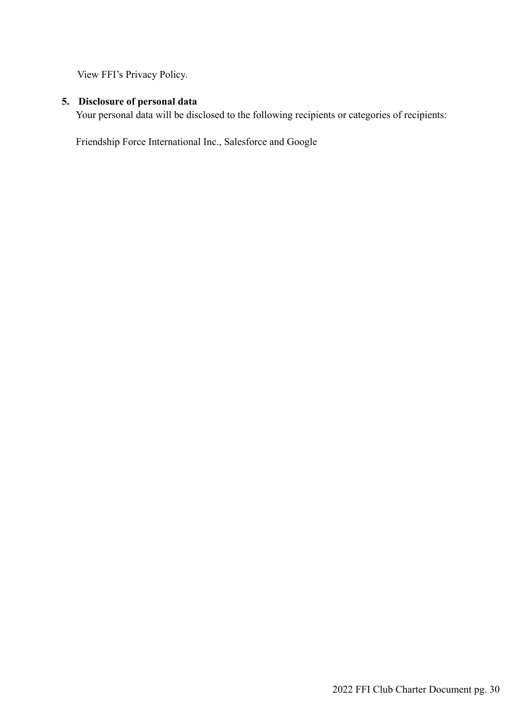View FFI's Privacy Policy.

# **5. Disclosure of personal data**

Your personal data will be disclosed to the following recipients or categories of recipients:

Friendship Force International Inc., Salesforce and Google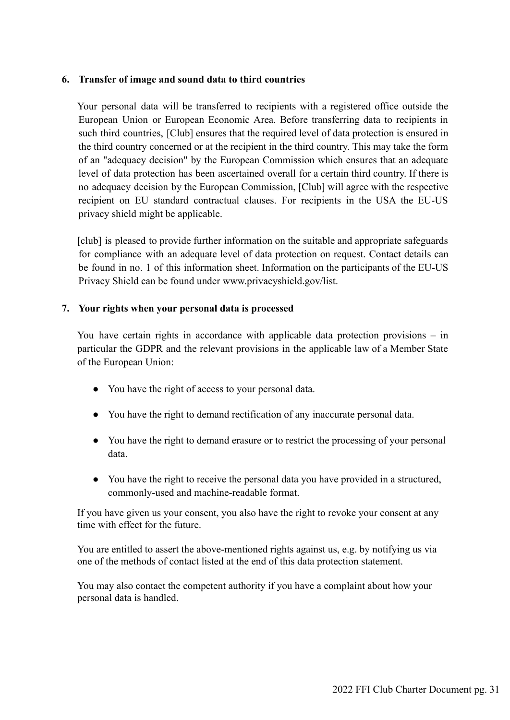## **6. Transfer of image and sound data to third countries**

Your personal data will be transferred to recipients with a registered office outside the European Union or European Economic Area. Before transferring data to recipients in such third countries, [Club] ensures that the required level of data protection is ensured in the third country concerned or at the recipient in the third country. This may take the form of an "adequacy decision" by the European Commission which ensures that an adequate level of data protection has been ascertained overall for a certain third country. If there is no adequacy decision by the European Commission, [Club] will agree with the respective recipient on EU standard contractual clauses. For recipients in the USA the EU-US privacy shield might be applicable.

[club] is pleased to provide further information on the suitable and appropriate safeguards for compliance with an adequate level of data protection on request. Contact details can be found in no. 1 of this information sheet. Information on the participants of the EU-US [Privacy Shield can be found under www.privacyshield.gov/list.](http://www.privacyshield.gov/list)

## **7. Your rights when your personal data is processed**

You have certain rights in accordance with applicable data protection provisions – in particular the GDPR and the relevant provisions in the applicable law of a Member State of the European Union:

- You have the right of access to your personal data.
- You have the right to demand rectification of any inaccurate personal data.
- You have the right to demand erasure or to restrict the processing of your personal data.
- You have the right to receive the personal data you have provided in a structured, commonly-used and machine-readable format.

If you have given us your consent, you also have the right to revoke your consent at any time with effect for the future.

You are entitled to assert the above-mentioned rights against us, e.g. by notifying us via one of the methods of contact listed at the end of this data protection statement.

You may also contact the competent authority if you have a complaint about how your personal data is handled.